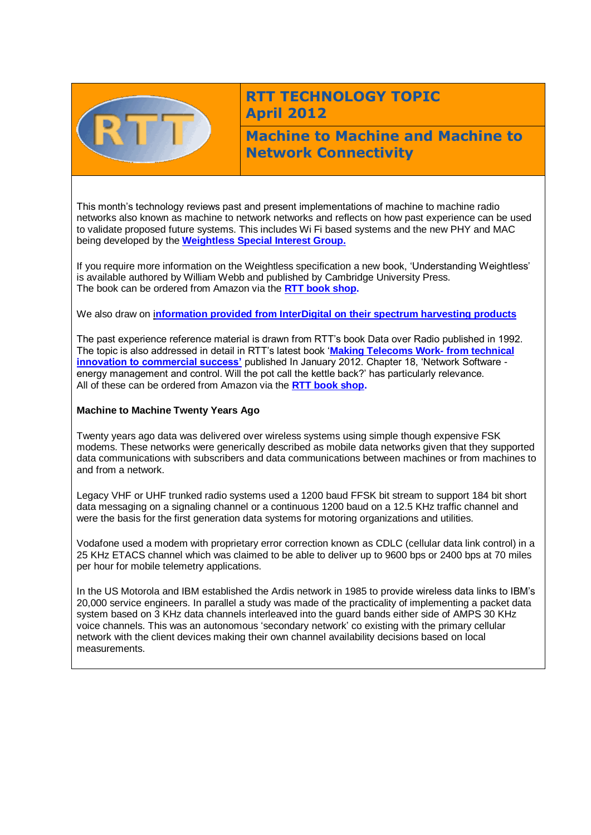

## **RTT TECHNOLOGY TOPIC April 2012**

**Machine to Machine and Machine to Network Connectivity** 

This month's technology reviews past and present implementations of machine to machine radio networks also known as machine to network networks and reflects on how past experience can be used to validate proposed future systems. This includes Wi Fi based systems and the new PHY and MAC being developed by the **[Weightless Special Interest Group.](http://www.mobitex.org/)**

If you require more information on the Weightless specification a new book, 'Understanding Weightless' is available authored by William Webb and published by Cambridge University Press. The book can be ordered from Amazon via the **[RTT book shop.](http://www.rttonline.com/bookshop.html)**

We also draw on i**[nformation provided from InterDigital on their spectrum harvesting products](http://ir.interdigital.com/releasedetail.cfm?ReleaseID=651535)**

The past experience reference material is drawn from RTT's book Data over Radio published in 1992. The topic is also addressed in detail in RTT's latest book '**[Making Telecoms Work-](http://www.rttonline.com/bookshop.html) from technical [innovation to commercial success'](http://www.rttonline.com/bookshop.html)** published In January 2012. Chapter 18, 'Network Software energy management and control. Will the pot call the kettle back?' has particularly relevance. All of these can be ordered from Amazon via the **[RTT book shop.](http://www.rttonline.com/bookshop.html)**

## **Machine to Machine Twenty Years Ago**

Twenty years ago data was delivered over wireless systems using simple though expensive FSK modems. These networks were generically described as mobile data networks given that they supported data communications with subscribers and data communications between machines or from machines to and from a network.

Legacy VHF or UHF trunked radio systems used a 1200 baud FFSK bit stream to support 184 bit short data messaging on a signaling channel or a continuous 1200 baud on a 12.5 KHz traffic channel and were the basis for the first generation data systems for motoring organizations and utilities.

Vodafone used a modem with proprietary error correction known as CDLC (cellular data link control) in a 25 KHz ETACS channel which was claimed to be able to deliver up to 9600 bps or 2400 bps at 70 miles per hour for mobile telemetry applications.

In the US Motorola and IBM established the Ardis network in 1985 to provide wireless data links to IBM's 20,000 service engineers. In parallel a study was made of the practicality of implementing a packet data system based on 3 KHz data channels interleaved into the guard bands either side of AMPS 30 KHz voice channels. This was an autonomous 'secondary network' co existing with the primary cellular network with the client devices making their own channel availability decisions based on local measurements.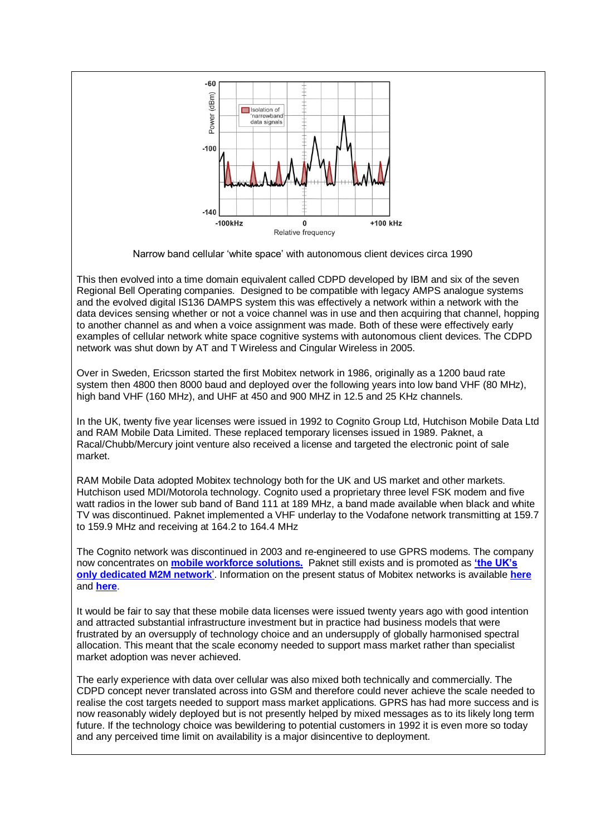

Narrow band cellular 'white space' with autonomous client devices circa 1990

This then evolved into a time domain equivalent called CDPD developed by IBM and six of the seven Regional Bell Operating companies. Designed to be compatible with legacy AMPS analogue systems and the evolved digital IS136 DAMPS system this was effectively a network within a network with the data devices sensing whether or not a voice channel was in use and then acquiring that channel, hopping to another channel as and when a voice assignment was made. Both of these were effectively early examples of cellular network white space cognitive systems with autonomous client devices. The CDPD network was shut down by AT and T Wireless and Cingular Wireless in 2005.

Over in Sweden, Ericsson started the first Mobitex network in 1986, originally as a 1200 baud rate system then 4800 then 8000 baud and deployed over the following years into low band VHF (80 MHz), high band VHF (160 MHz), and UHF at 450 and 900 MHZ in 12.5 and 25 KHz channels.

In the UK, twenty five year licenses were issued in 1992 to Cognito Group Ltd, Hutchison Mobile Data Ltd and RAM Mobile Data Limited. These replaced temporary licenses issued in 1989. Paknet, a Racal/Chubb/Mercury joint venture also received a license and targeted the electronic point of sale market.

RAM Mobile Data adopted Mobitex technology both for the UK and US market and other markets. Hutchison used MDI/Motorola technology. Cognito used a proprietary three level FSK modem and five watt radios in the lower sub band of Band 111 at 189 MHz, a band made available when black and white TV was discontinued. Paknet implemented a VHF underlay to the Vodafone network transmitting at 159.7 to 159.9 MHz and receiving at 164.2 to 164.4 MHz

The Cognito network was discontinued in 2003 and re-engineered to use GPRS modems. The company now concentrates on **[mobile workforce solutions.](http://www.cognitomobile.com/)** Paknet still exists and is promoted as **['the UK's](http://paknet.vodafone.net/)  [only dedicated M2M network](http://paknet.vodafone.net/)**'. Information on the present status of Mobitex networks is available **[here](http://www.mobitex.com/)** and **[here](http://www.mobitex.org/)**.

It would be fair to say that these mobile data licenses were issued twenty years ago with good intention and attracted substantial infrastructure investment but in practice had business models that were frustrated by an oversupply of technology choice and an undersupply of globally harmonised spectral allocation. This meant that the scale economy needed to support mass market rather than specialist market adoption was never achieved.

The early experience with data over cellular was also mixed both technically and commercially. The CDPD concept never translated across into GSM and therefore could never achieve the scale needed to realise the cost targets needed to support mass market applications. GPRS has had more success and is now reasonably widely deployed but is not presently helped by mixed messages as to its likely long term future. If the technology choice was bewildering to potential customers in 1992 it is even more so today and any perceived time limit on availability is a major disincentive to deployment.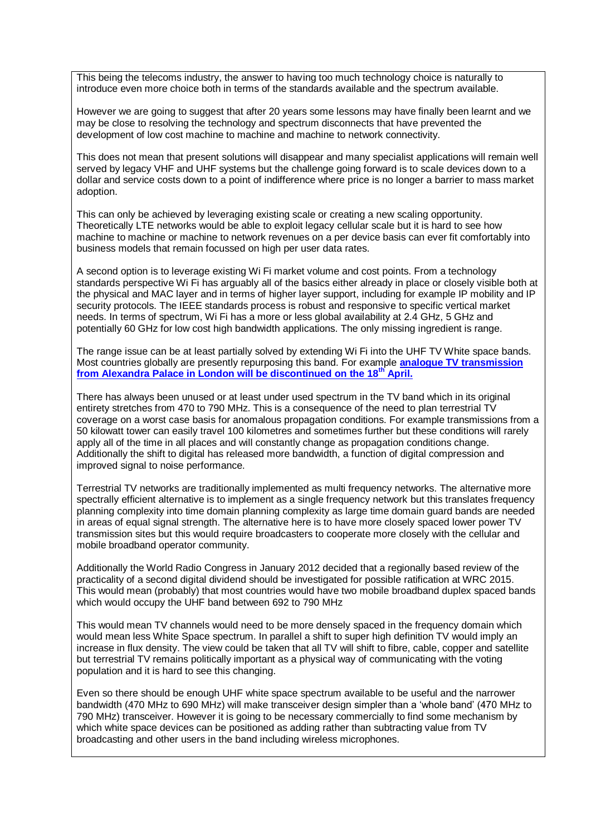This being the telecoms industry, the answer to having too much technology choice is naturally to introduce even more choice both in terms of the standards available and the spectrum available.

However we are going to suggest that after 20 years some lessons may have finally been learnt and we may be close to resolving the technology and spectrum disconnects that have prevented the development of low cost machine to machine and machine to network connectivity.

This does not mean that present solutions will disappear and many specialist applications will remain well served by legacy VHF and UHF systems but the challenge going forward is to scale devices down to a dollar and service costs down to a point of indifference where price is no longer a barrier to mass market adoption.

This can only be achieved by leveraging existing scale or creating a new scaling opportunity. Theoretically LTE networks would be able to exploit legacy cellular scale but it is hard to see how machine to machine or machine to network revenues on a per device basis can ever fit comfortably into business models that remain focussed on high per user data rates.

A second option is to leverage existing Wi Fi market volume and cost points. From a technology standards perspective Wi Fi has arguably all of the basics either already in place or closely visible both at the physical and MAC layer and in terms of higher layer support, including for example IP mobility and IP security protocols. The IEEE standards process is robust and responsive to specific vertical market needs. In terms of spectrum, Wi Fi has a more or less global availability at 2.4 GHz, 5 GHz and potentially 60 GHz for low cost high bandwidth applications. The only missing ingredient is range.

The range issue can be at least partially solved by extending Wi Fi into the UHF TV White space bands. Most countries globally are presently repurposing this band. For example **[analogue TV transmission](http://www.ukfree.tv/closedown.php)  [from Alexandra Palace in London will be discontinued on the 18](http://www.ukfree.tv/closedown.php)th April.**

There has always been unused or at least under used spectrum in the TV band which in its original entirety stretches from 470 to 790 MHz. This is a consequence of the need to plan terrestrial TV coverage on a worst case basis for anomalous propagation conditions. For example transmissions from a 50 kilowatt tower can easily travel 100 kilometres and sometimes further but these conditions will rarely apply all of the time in all places and will constantly change as propagation conditions change. Additionally the shift to digital has released more bandwidth, a function of digital compression and improved signal to noise performance.

Terrestrial TV networks are traditionally implemented as multi frequency networks. The alternative more spectrally efficient alternative is to implement as a single frequency network but this translates frequency planning complexity into time domain planning complexity as large time domain guard bands are needed in areas of equal signal strength. The alternative here is to have more closely spaced lower power TV transmission sites but this would require broadcasters to cooperate more closely with the cellular and mobile broadband operator community.

Additionally the World Radio Congress in January 2012 decided that a regionally based review of the practicality of a second digital dividend should be investigated for possible ratification at WRC 2015. This would mean (probably) that most countries would have two mobile broadband duplex spaced bands which would occupy the UHF band between 692 to 790 MHz

This would mean TV channels would need to be more densely spaced in the frequency domain which would mean less White Space spectrum. In parallel a shift to super high definition TV would imply an increase in flux density. The view could be taken that all TV will shift to fibre, cable, copper and satellite but terrestrial TV remains politically important as a physical way of communicating with the voting population and it is hard to see this changing.

Even so there should be enough UHF white space spectrum available to be useful and the narrower bandwidth (470 MHz to 690 MHz) will make transceiver design simpler than a 'whole band' (470 MHz to 790 MHz) transceiver. However it is going to be necessary commercially to find some mechanism by which white space devices can be positioned as adding rather than subtracting value from TV broadcasting and other users in the band including wireless microphones.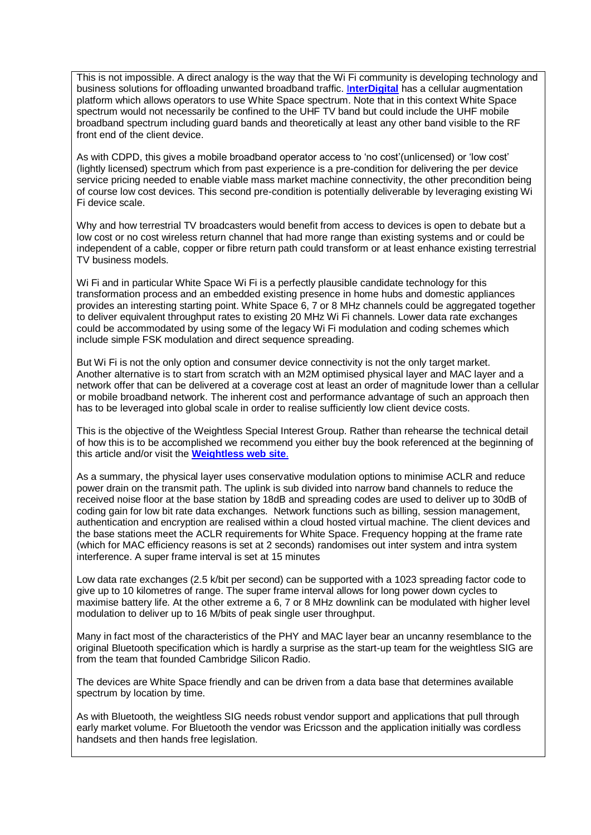This is not impossible. A direct analogy is the way that the Wi Fi community is developing technology and business solutions for offloading unwanted broadband traffic. I**[nterDigital](http://ir.interdigital.com/releasedetail.cfm?ReleaseID=651535)** has a cellular augmentation platform which allows operators to use White Space spectrum. Note that in this context White Space spectrum would not necessarily be confined to the UHF TV band but could include the UHF mobile broadband spectrum including guard bands and theoretically at least any other band visible to the RF front end of the client device.

As with CDPD, this gives a mobile broadband operator access to 'no cost'(unlicensed) or 'low cost' (lightly licensed) spectrum which from past experience is a pre-condition for delivering the per device service pricing needed to enable viable mass market machine connectivity, the other precondition being of course low cost devices. This second pre-condition is potentially deliverable by leveraging existing Wi Fi device scale.

Why and how terrestrial TV broadcasters would benefit from access to devices is open to debate but a low cost or no cost wireless return channel that had more range than existing systems and or could be independent of a cable, copper or fibre return path could transform or at least enhance existing terrestrial TV business models.

Wi Fi and in particular White Space Wi Fi is a perfectly plausible candidate technology for this transformation process and an embedded existing presence in home hubs and domestic appliances provides an interesting starting point. White Space 6, 7 or 8 MHz channels could be aggregated together to deliver equivalent throughput rates to existing 20 MHz Wi Fi channels. Lower data rate exchanges could be accommodated by using some of the legacy Wi Fi modulation and coding schemes which include simple FSK modulation and direct sequence spreading.

But Wi Fi is not the only option and consumer device connectivity is not the only target market. Another alternative is to start from scratch with an M2M optimised physical layer and MAC layer and a network offer that can be delivered at a coverage cost at least an order of magnitude lower than a cellular or mobile broadband network. The inherent cost and performance advantage of such an approach then has to be leveraged into global scale in order to realise sufficiently low client device costs.

This is the objective of the Weightless Special Interest Group. Rather than rehearse the technical detail of how this is to be accomplished we recommend you either buy the book referenced at the beginning of this article and/or visit the **[Weightless web site](http://www.weightless.org/)**.

As a summary, the physical layer uses conservative modulation options to minimise ACLR and reduce power drain on the transmit path. The uplink is sub divided into narrow band channels to reduce the received noise floor at the base station by 18dB and spreading codes are used to deliver up to 30dB of coding gain for low bit rate data exchanges. Network functions such as billing, session management, authentication and encryption are realised within a cloud hosted virtual machine. The client devices and the base stations meet the ACLR requirements for White Space. Frequency hopping at the frame rate (which for MAC efficiency reasons is set at 2 seconds) randomises out inter system and intra system interference. A super frame interval is set at 15 minutes

Low data rate exchanges (2.5 k/bit per second) can be supported with a 1023 spreading factor code to give up to 10 kilometres of range. The super frame interval allows for long power down cycles to maximise battery life. At the other extreme a 6, 7 or 8 MHz downlink can be modulated with higher level modulation to deliver up to 16 M/bits of peak single user throughput.

Many in fact most of the characteristics of the PHY and MAC layer bear an uncanny resemblance to the original Bluetooth specification which is hardly a surprise as the start-up team for the weightless SIG are from the team that founded Cambridge Silicon Radio.

The devices are White Space friendly and can be driven from a data base that determines available spectrum by location by time.

As with Bluetooth, the weightless SIG needs robust vendor support and applications that pull through early market volume. For Bluetooth the vendor was Ericsson and the application initially was cordless handsets and then hands free legislation.